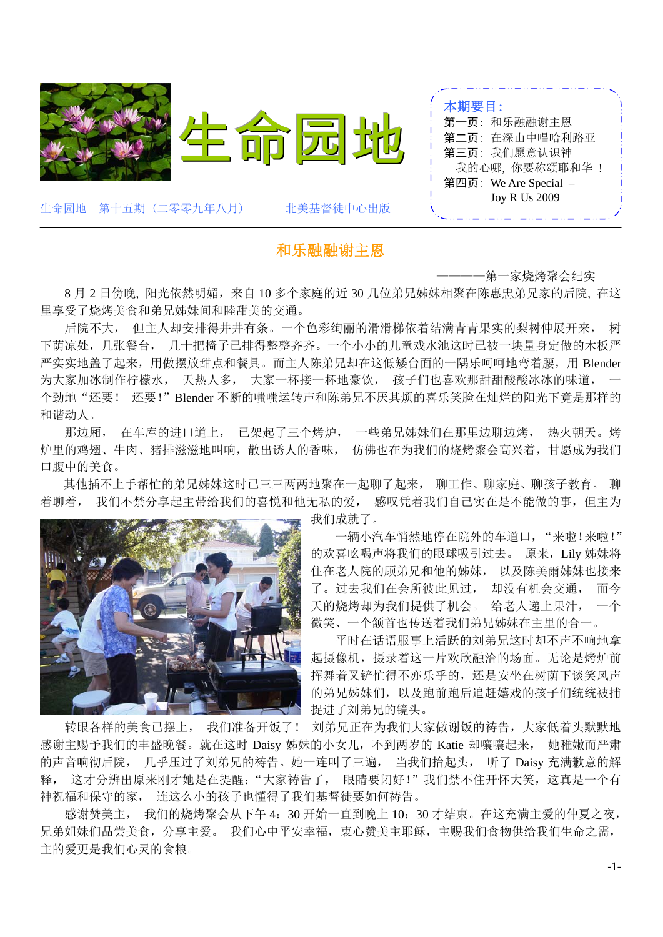

### 和乐融融谢主恩

————第一家烧烤聚会纪实

8 月 2 日傍晚, 阳光依然明媚,来自 10 多个家庭的近 30 几位弟兄姊妹相聚在陈惠忠弟兄家的后院, 在这 里享受了烧烤美食和弟兄姊妹间和睦甜美的交通。

后院不大, 但主人却安排得井井有条。一个色彩绚丽的滑滑梯依着结满青青果实的梨树伸展开来, 树 下荫凉处,几张餐台, 几十把椅子已排得整整齐齐。一个小小的儿童戏水池这时已被一块量身定做的木板严 严实实地盖了起来,用做摆放甜点和餐具。而主人陈弟兄却在这低矮台面的一隅乐呵呵地弯着腰,用 Blender 为大家加冰制作柠檬水, 天热人多, 大家一杯接一杯地豪饮, 孩子们也喜欢那甜甜酸酸冰冰的味道, 个劲地"还要! 还要!"Blender 不断的嗤嗤运转声和陈弟兄不厌其烦的喜乐笑脸在灿烂的阳光下竟是那样的 和谐动人。

那边厢, 在车库的进口道上, 已架起了三个烤炉, 一些弟兄姊妹们在那里边聊边烤, 热火朝天。烤 炉里的鸡翅、牛肉、猪排滋滋地叫响,散出诱人的香味, 仿佛也在为我们的烧烤聚会高兴着,甘愿成为我们 口腹中的美食。

其他插不上手帮忙的弟兄姊妹这时已三三两两地聚在一起聊了起来, 聊工作、聊家庭、聊孩子教育。 聊 着聊着, 我们不禁分享起主带给我们的喜悦和他无私的爱, 感叹凭着我们自己实在是不能做的事,但主为



我们成就了。

一辆小汽车悄然地停在院外的车道口, "来啦!来啦!" 的欢喜吆喝声将我们的眼球吸引过去。 原来,Lily 姊妹将 住在老人院的顾弟兄和他的姊妹, 以及陈美爾姊妹也接来 了。过去我们在会所彼此见过, 却没有机会交通, 而今 天的烧烤却为我们提供了机会。 给老人递上果汁, 一个 微笑、一个颔首也传送着我们弟兄姊妹在主里的合一。

平时在话语服事上活跃的刘弟兄这时却不声不响地拿 起摄像机,摄录着这一片欢欣融洽的场面。无论是烤炉前 挥舞着叉铲忙得不亦乐乎的,还是安坐在树荫下谈笑风声 的弟兄姊妹们,以及跑前跑后追赶嬉戏的孩子们统统被捕 捉进了刘弟兄的镜头。

转眼各样的美食已摆上, 我们准备开饭了! 刘弟兄正在为我们大家做谢饭的祷告,大家低着头默默地 感谢主赐予我们的丰盛晚餐。就在这时 Daisy 姊妹的小女儿,不到两岁的 Katie 却嚷嚷起来, 她稚嫩而严肃 的声音响彻后院, 几乎压过了刘弟兄的祷告。她一连叫了三遍, 当我们抬起头, 听了 Daisy 充满歉意的解 释, 这才分辨出原来刚才她是在提醒:"大家祷告了, 眼睛要闭好!"我们禁不住开怀大笑,这真是一个有 神祝福和保守的家, 连这么小的孩子也懂得了我们基督徒要如何祷告。

感谢赞美主, 我们的烧烤聚会从下午 4:30 开始一直到晚上 10:30 才结束。在这充满主爱的仲夏之夜, 兄弟姐妹们品尝美食,分享主爱。我们心中平安幸福,衷心赞美主耶稣,主赐我们食物供给我们生命之需, 主的爱更是我们心灵的食粮。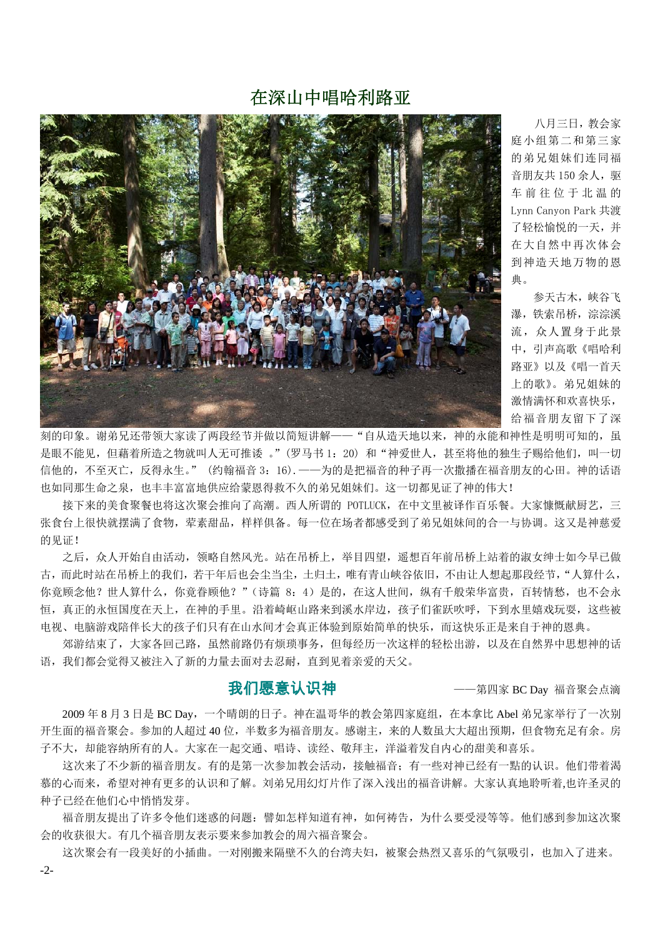# 在深山中唱哈利路亚



 八月三日,教会家 庭小组第二和第三家 的弟兄姐妹们连同福 音朋友共 150 余人,驱 车前往位于北温的 Lynn Canyon Park 共渡 了轻松愉悦的一天,并 在大自然中再次体会 到神造天地万物的恩 典。

参天古木,峡谷飞 瀑,铁索吊桥,淙淙溪 流,众人置身于此景 中,引声高歌《唱哈利 路亚》以及《唱一首天 上的歌》。弟兄姐妹的 激情满怀和欢喜快乐, 给福音朋友留下了深

刻的印象。谢弟兄还带领大家读了两段经节并做以简短讲解——"自从造天地以来,神的永能和神性是明明可知的,虽 是眼不能见,但藉着所造之物就叫人无可推诿 。"(罗马书 1:20) 和"神爱世人,甚至将他的独生子赐给他们,叫一切 信他的,不至灭亡,反得永生。" (约翰福音 3:16).——为的是把福音的种子再一次撒播在福音朋友的心田。神的话语 也如同那生命之泉,也丰丰富富地供应给蒙恩得救不久的弟兄姐妹们。这一切都见证了神的伟大!

接下来的美食聚餐也将这次聚会推向了高潮。西人所谓的 POTLUCK, 在中文里被译作百乐餐。大家慷慨献厨艺, 三 张食台上很快就摆满了食物,荤素甜品,样样俱备。每一位在场者都感受到了弟兄姐妹间的合一与协调。这又是神慈爱 的见证!

 之后,众人开始自由活动,领略自然风光。站在吊桥上,举目四望,遥想百年前吊桥上站着的淑女绅士如今早已做 古,而此时站在吊桥上的我们,若干年后也会尘当尘,土归土,唯有青山峡谷依旧,不由让人想起那段经节,"人算什么, 你竟顾念他?世人算什么,你竟眷顾他?"(诗篇 8:4)是的,在这人世间,纵有千般荣华富贵,百转情愁,也不会永 恒,真正的永恒国度在天上,在神的手里。沿着崎岖山路来到溪水岸边,孩子们雀跃吹呼,下到水里嬉戏玩耍,这些被 电视、电脑游戏陪伴长大的孩子们只有在山水间才会真正体验到原始简单的快乐,而这快乐正是来自于神的恩典。

 郊游结束了,大家各回己路,虽然前路仍有烦琐事务,但每经历一次这样的轻松出游,以及在自然界中思想神的话 语,我们都会觉得又被注入了新的力量去面对去忍耐,直到见着亲爱的天父。

我们愿意认识神——第四家 BC Day 福音聚会点滴

2009 年 8 月 3 日是 BC Day,一个晴朗的日子。神在温哥华的教会第四家庭组,在本拿比 Abel 弟兄家举行了一次别 开生面的福音聚会。参加的人超过 40 位,半数多为福音朋友。感谢主,来的人数虽大大超出预期,但食物充足有余。房 子不大,却能容纳所有的人。大家在一起交通、唱诗、读经、敬拜主,洋溢着发自内心的甜美和喜乐。

 这次来了不少新的福音朋友。有的是第一次参加教会活动,接触福音;有一些对神已经有一點的认识。他们带着渴 慕的心而来,希望对神有更多的认识和了解。刘弟兄用幻灯片作了深入浅出的福音讲解。大家认真地聆听着,也许圣灵的 种子已经在他们心中悄悄发芽。

福音朋友提出了许多令他们迷惑的问题:譬如怎样知道有神,如何祷告,为什么要受浸等等。他们感到参加这次聚 会的收获很大。有几个福音朋友表示要来参加教会的周六福音聚会。

 这次聚会有一段美好的小插曲。一对刚搬来隔壁不久的台湾夫妇,被聚会热烈又喜乐的气氛吸引,也加入了进来。 -2-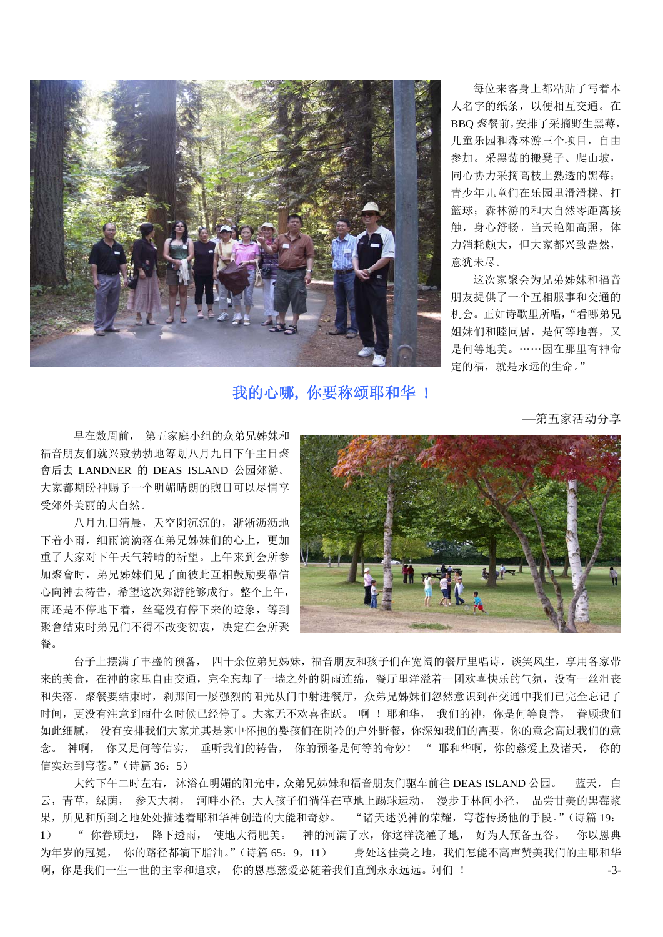

我的心哪**,** 你要称颂耶和华 **!** 

每位来客身上都粘贴了写着本 人名字的纸条,以便相互交通。在 BBQ 聚餐前,安排了采摘野生黑莓, 儿童乐园和森林游三个项目,自由 参加。采黑莓的搬凳子、爬山坡, 同心协力采摘高枝上熟透的黑莓; 青少年儿童们在乐园里滑滑梯、打 篮球;森林游的和大自然零距离接 触,身心舒畅。当天艳阳高照,体 力消耗颇大,但大家都兴致盎然, 意犹未尽。

这次家聚会为兄弟姊妹和福音 朋友提供了一个互相服事和交通的 机会。正如诗歌里所唱,"看哪弟兄 姐妹们和睦同居,是何等地善,又 是何等地美。……因在那里有神命 定的福,就是永远的生命。"

—第五家活动分享

 早在数周前, 第五家庭小组的众弟兄姊妹和 福音朋友们就兴致勃勃地筹划八月九日下午主日聚 會后去 LANDNER 的 DEAS ISLAND 公园郊游。 大家都期盼神赐予一个明媚晴朗的煦日可以尽情享 受郊外美丽的大自然。

 八月九日清晨,天空阴沉沉的,淅淅沥沥地 下着小雨,细雨滴滴落在弟兄姊妹们的心上,更加 重了大家对下午天气转晴的祈望。上午来到会所参 加聚會时,弟兄姊妹们见了面彼此互相鼓励要靠信 心向神去祷告,希望这次郊游能够成行。整个上午, 雨还是不停地下着,丝毫没有停下来的迹象,等到 聚會结束时弟兄们不得不改变初衷,决定在会所聚 餐。



 台子上摆满了丰盛的预备, 四十余位弟兄姊妹,福音朋友和孩子们在宽阔的餐厅里唱诗,谈笑风生,享用各家带 来的美食,在神的家里自由交通,完全忘却了一墙之外的阴雨连绵,餐厅里洋溢着一团欢喜快乐的气氛,没有一丝沮丧 和失落。聚餐要结束时,刹那间一屡强烈的阳光从门中射进餐厅,众弟兄姊妹们忽然意识到在交通中我们已完全忘记了 时间,更没有注意到雨什么时候已经停了。大家无不欢喜雀跃。 啊 ! 耶和华, 我们的神, 你是何等良善, 眷顾我们 如此细腻, 没有安排我们大家尤其是家中怀抱的婴孩们在阴冷的户外野餐,你深知我们的需要,你的意念高过我们的意 念。 神啊, 你又是何等信实, 垂听我们的祷告, 你的预备是何等的奇妙! " 耶和华啊, 你的慈爱上及诸天, 你的 信实达到穹苍。"(诗篇 36: 5)

大约下午二时左右, 沐浴在明媚的阳光中,众弟兄姊妹和福音朋友们驱车前往 DEAS ISLAND 公园。 蓝天, 白 云,青草,绿荫, 参天大树, 河畔小径, 大人孩子们徜佯在草地上踢球运动, 漫步于林间小径, 品尝甘美的黒莓浆 果,所见和所到之地处处描述着耶和华神创造的大能和奇妙。 "诸天述说神的荣耀,穹苍传扬他的手段。"(诗篇19: 1) " 你眷顾地, 降下透雨, 使地大得肥美。 神的河满了水,你这样浇灌了地, 好为人预备五谷。 你以恩典 为年岁的冠冕, 你的路径都滴下脂油。"(诗篇 65: 9, 11) 身处这佳美之地,我们怎能不高声赞美我们的主耶和华 啊,你是我们一生一世的主宰和追求, 你的恩惠慈爱必随着我们直到永永远远。阿们 ! -3-